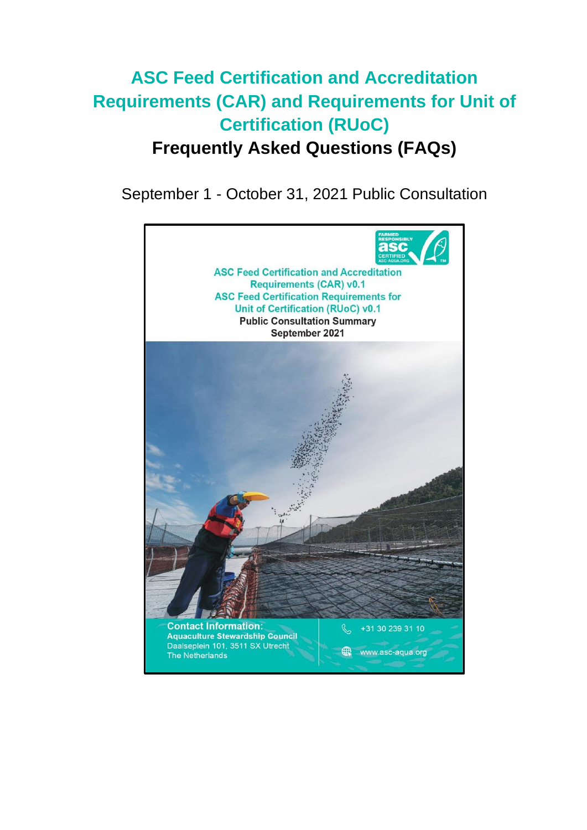# **ASC Feed Certification and Accreditation Requirements (CAR) and Requirements for Unit of Certification (RUoC) Frequently Asked Questions (FAQs)**

September 1 - October 31, 2021 Public Consultation

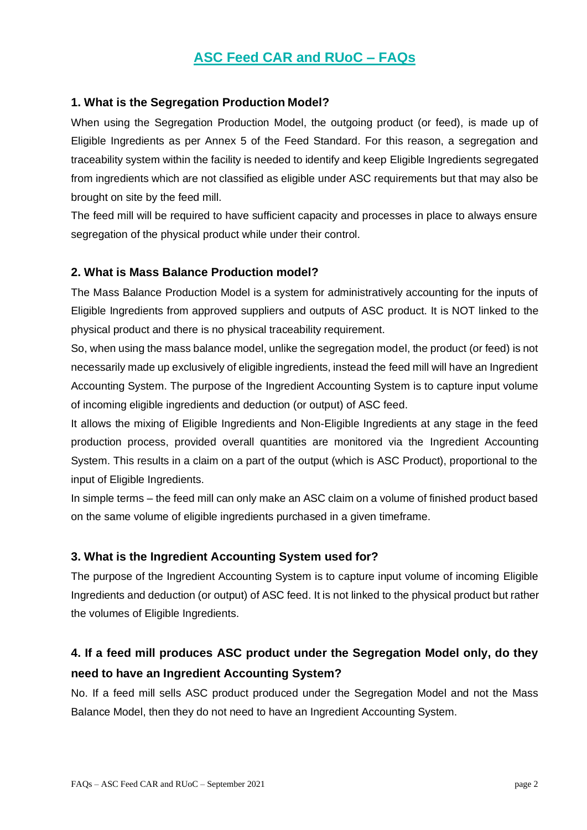### **ASC Feed CAR and RUoC – FAQs**

#### **1. What is the Segregation Production Model?**

When using the Segregation Production Model, the outgoing product (or feed), is made up of Eligible Ingredients as per Annex 5 of the Feed Standard. For this reason, a segregation and traceability system within the facility is needed to identify and keep Eligible Ingredients segregated from ingredients which are not classified as eligible under ASC requirements but that may also be brought on site by the feed mill.

The feed mill will be required to have sufficient capacity and processes in place to always ensure segregation of the physical product while under their control.

#### **2. What is Mass Balance Production model?**

The Mass Balance Production Model is a system for administratively accounting for the inputs of Eligible Ingredients from approved suppliers and outputs of ASC product. It is NOT linked to the physical product and there is no physical traceability requirement.

So, when using the mass balance model, unlike the segregation model, the product (or feed) is not necessarily made up exclusively of eligible ingredients, instead the feed mill will have an Ingredient Accounting System. The purpose of the Ingredient Accounting System is to capture input volume of incoming eligible ingredients and deduction (or output) of ASC feed.

It allows the mixing of Eligible Ingredients and Non-Eligible Ingredients at any stage in the feed production process, provided overall quantities are monitored via the Ingredient Accounting System. This results in a claim on a part of the output (which is ASC Product), proportional to the input of Eligible Ingredients.

In simple terms – the feed mill can only make an ASC claim on a volume of finished product based on the same volume of eligible ingredients purchased in a given timeframe.

#### **3. What is the Ingredient Accounting System used for?**

The purpose of the Ingredient Accounting System is to capture input volume of incoming Eligible Ingredients and deduction (or output) of ASC feed. It is not linked to the physical product but rather the volumes of Eligible Ingredients.

### **4. If a feed mill produces ASC product under the Segregation Model only, do they need to have an Ingredient Accounting System?**

No. If a feed mill sells ASC product produced under the Segregation Model and not the Mass Balance Model, then they do not need to have an Ingredient Accounting System.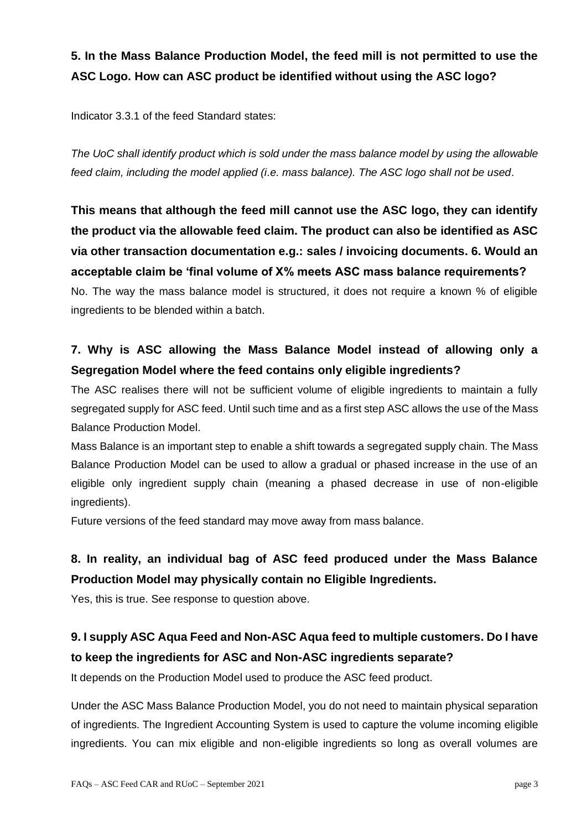### **5. In the Mass Balance Production Model, the feed mill is not permitted to use the ASC Logo. How can ASC product be identified without using the ASC logo?**

Indicator 3.3.1 of the feed Standard states:

*The UoC shall identify product which is sold under the mass balance model by using the allowable feed claim, including the model applied (i.e. mass balance). The ASC logo shall not be used*.

**This means that although the feed mill cannot use the ASC logo, they can identify the product via the allowable feed claim. The product can also be identified as ASC via other transaction documentation e.g.: sales / invoicing documents. 6. Would an acceptable claim be 'final volume of X% meets ASC mass balance requirements?** No. The way the mass balance model is structured, it does not require a known % of eligible ingredients to be blended within a batch.

### **7. Why is ASC allowing the Mass Balance Model instead of allowing only a Segregation Model where the feed contains only eligible ingredients?**

The ASC realises there will not be sufficient volume of eligible ingredients to maintain a fully segregated supply for ASC feed. Until such time and as a first step ASC allows the use of the Mass Balance Production Model.

Mass Balance is an important step to enable a shift towards a segregated supply chain. The Mass Balance Production Model can be used to allow a gradual or phased increase in the use of an eligible only ingredient supply chain (meaning a phased decrease in use of non-eligible ingredients).

Future versions of the feed standard may move away from mass balance.

### **8. In reality, an individual bag of ASC feed produced under the Mass Balance Production Model may physically contain no Eligible Ingredients.**

Yes, this is true. See response to question above.

### **9. I supply ASC Aqua Feed and Non-ASC Aqua feed to multiple customers. Do I have to keep the ingredients for ASC and Non-ASC ingredients separate?**

It depends on the Production Model used to produce the ASC feed product.

Under the ASC Mass Balance Production Model, you do not need to maintain physical separation of ingredients. The Ingredient Accounting System is used to capture the volume incoming eligible ingredients. You can mix eligible and non-eligible ingredients so long as overall volumes are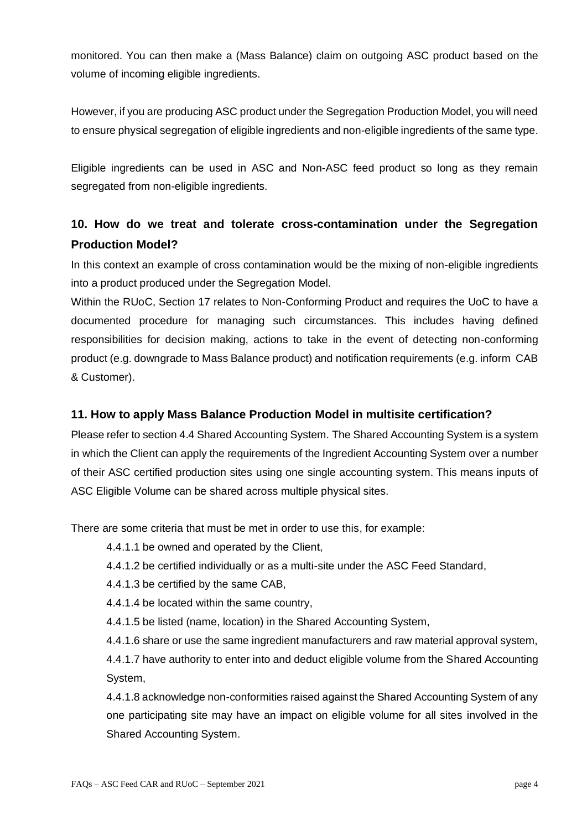monitored. You can then make a (Mass Balance) claim on outgoing ASC product based on the volume of incoming eligible ingredients.

However, if you are producing ASC product under the Segregation Production Model, you will need to ensure physical segregation of eligible ingredients and non-eligible ingredients of the same type.

Eligible ingredients can be used in ASC and Non-ASC feed product so long as they remain segregated from non-eligible ingredients.

#### **10. How do we treat and tolerate cross-contamination under the Segregation Production Model?**

In this context an example of cross contamination would be the mixing of non-eligible ingredients into a product produced under the Segregation Model.

Within the RUoC, Section 17 relates to Non-Conforming Product and requires the UoC to have a documented procedure for managing such circumstances. This includes having defined responsibilities for decision making, actions to take in the event of detecting non-conforming product (e.g. downgrade to Mass Balance product) and notification requirements (e.g. inform CAB & Customer).

#### **11. How to apply Mass Balance Production Model in multisite certification?**

Please refer to section 4.4 Shared Accounting System. The Shared Accounting System is a system in which the Client can apply the requirements of the Ingredient Accounting System over a number of their ASC certified production sites using one single accounting system. This means inputs of ASC Eligible Volume can be shared across multiple physical sites.

There are some criteria that must be met in order to use this, for example:

4.4.1.1 be owned and operated by the Client,

4.4.1.2 be certified individually or as a multi-site under the ASC Feed Standard,

4.4.1.3 be certified by the same CAB,

4.4.1.4 be located within the same country,

4.4.1.5 be listed (name, location) in the Shared Accounting System,

4.4.1.6 share or use the same ingredient manufacturers and raw material approval system,

4.4.1.7 have authority to enter into and deduct eligible volume from the Shared Accounting System,

4.4.1.8 acknowledge non-conformities raised against the Shared Accounting System of any one participating site may have an impact on eligible volume for all sites involved in the Shared Accounting System.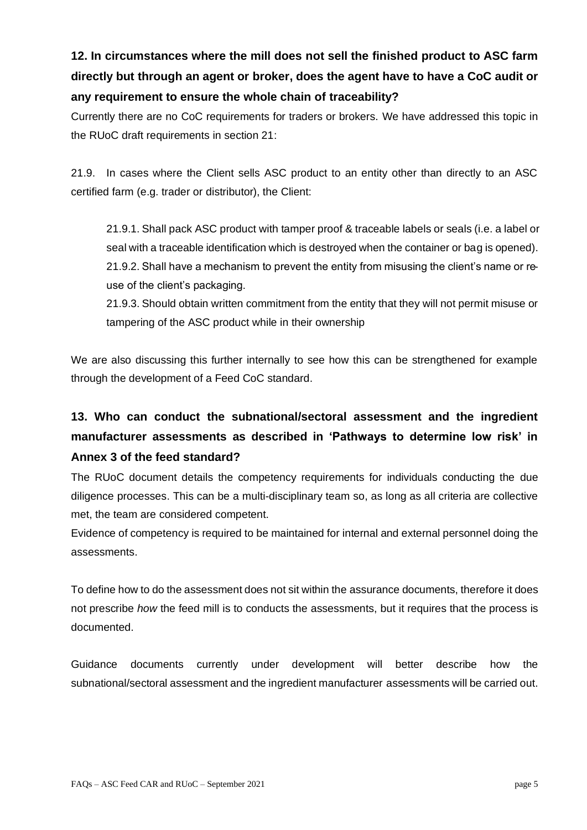# **12. In circumstances where the mill does not sell the finished product to ASC farm directly but through an agent or broker, does the agent have to have a CoC audit or any requirement to ensure the whole chain of traceability?**

Currently there are no CoC requirements for traders or brokers. We have addressed this topic in the RUoC draft requirements in section 21:

21.9. In cases where the Client sells ASC product to an entity other than directly to an ASC certified farm (e.g. trader or distributor), the Client:

21.9.1. Shall pack ASC product with tamper proof & traceable labels or seals (i.e. a label or seal with a traceable identification which is destroyed when the container or bag is opened). 21.9.2. Shall have a mechanism to prevent the entity from misusing the client's name or reuse of the client's packaging.

21.9.3. Should obtain written commitment from the entity that they will not permit misuse or tampering of the ASC product while in their ownership

We are also discussing this further internally to see how this can be strengthened for example through the development of a Feed CoC standard.

# **13. Who can conduct the subnational/sectoral assessment and the ingredient manufacturer assessments as described in 'Pathways to determine low risk' in Annex 3 of the feed standard?**

The RUoC document details the competency requirements for individuals conducting the due diligence processes. This can be a multi-disciplinary team so, as long as all criteria are collective met, the team are considered competent.

Evidence of competency is required to be maintained for internal and external personnel doing the assessments.

To define how to do the assessment does not sit within the assurance documents, therefore it does not prescribe *how* the feed mill is to conducts the assessments, but it requires that the process is documented.

Guidance documents currently under development will better describe how the subnational/sectoral assessment and the ingredient manufacturer assessments will be carried out.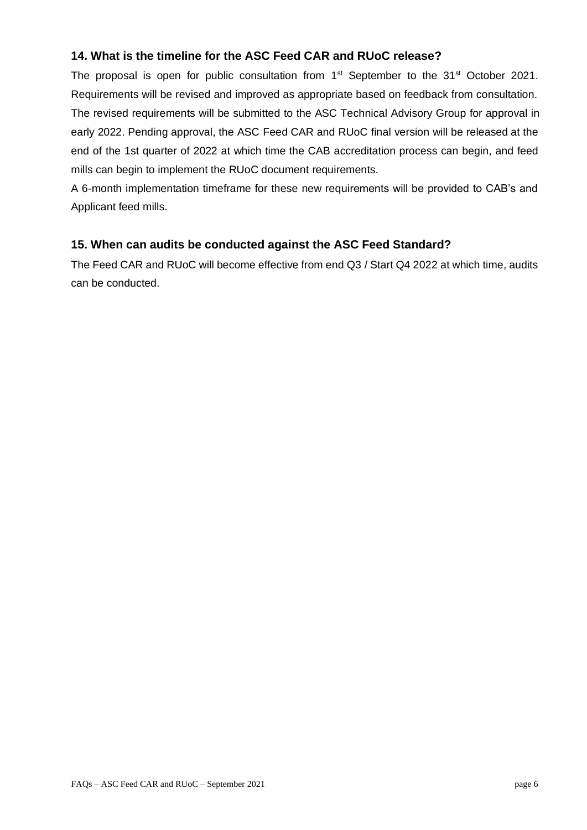#### **14. What is the timeline for the ASC Feed CAR and RUoC release?**

The proposal is open for public consultation from  $1<sup>st</sup>$  September to the  $31<sup>st</sup>$  October 2021. Requirements will be revised and improved as appropriate based on feedback from consultation. The revised requirements will be submitted to the ASC Technical Advisory Group for approval in early 2022. Pending approval, the ASC Feed CAR and RUoC final version will be released at the end of the 1st quarter of 2022 at which time the CAB accreditation process can begin, and feed mills can begin to implement the RUoC document requirements.

A 6-month implementation timeframe for these new requirements will be provided to CAB's and Applicant feed mills.

#### **15. When can audits be conducted against the ASC Feed Standard?**

The Feed CAR and RUoC will become effective from end Q3 / Start Q4 2022 at which time, audits can be conducted.